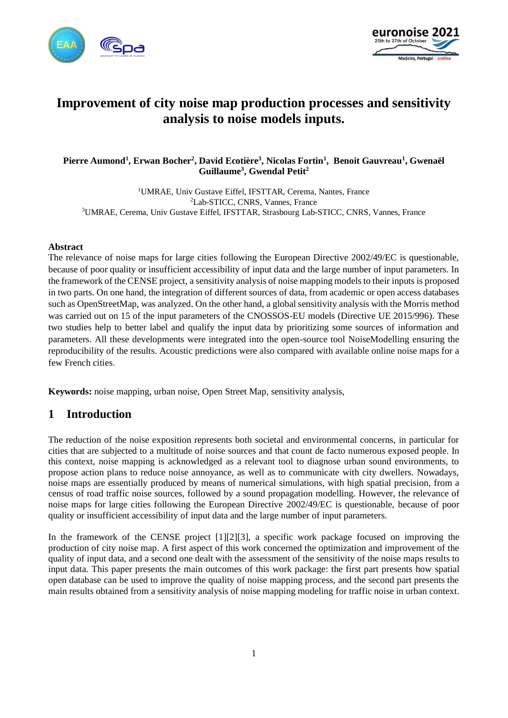



# **Improvement of city noise map production processes and sensitivity analysis to noise models inputs.**

### **Pierre Aumond<sup>1</sup> , Erwan Bocher<sup>2</sup> , David Ecotière<sup>3</sup> , Nicolas Fortin<sup>1</sup> , Benoit Gauvreau<sup>1</sup> , Gwenaël Guillaume<sup>3</sup> , Gwendal Petit<sup>2</sup>**

<sup>1</sup>UMRAE, Univ Gustave Eiffel, IFSTTAR, Cerema, Nantes, France <sup>2</sup>Lab-STICC, CNRS, Vannes, France <sup>3</sup>UMRAE, Cerema, Univ Gustave Eiffel, IFSTTAR, Strasbourg Lab-STICC, CNRS, Vannes, France

#### **Abstract**

The relevance of noise maps for large cities following the European Directive 2002/49/EC is questionable, because of poor quality or insufficient accessibility of input data and the large number of input parameters. In the framework of the CENSE project, a sensitivity analysis of noise mapping models to their inputs is proposed in two parts. On one hand, the integration of different sources of data, from academic or open access databases such as OpenStreetMap, was analyzed. On the other hand, a global sensitivity analysis with the Morris method was carried out on 15 of the input parameters of the CNOSSOS-EU models (Directive UE 2015/996). These two studies help to better label and qualify the input data by prioritizing some sources of information and parameters. All these developments were integrated into the open-source tool NoiseModelling ensuring the reproducibility of the results. Acoustic predictions were also compared with available online noise maps for a few French cities.

**Keywords:** noise mapping, urban noise, Open Street Map, sensitivity analysis,

### **1 Introduction**

The reduction of the noise exposition represents both societal and environmental concerns, in particular for cities that are subjected to a multitude of noise sources and that count de facto numerous exposed people. In this context, noise mapping is acknowledged as a relevant tool to diagnose urban sound environments, to propose action plans to reduce noise annoyance, as well as to communicate with city dwellers. Nowadays, noise maps are essentially produced by means of numerical simulations, with high spatial precision, from a census of road traffic noise sources, followed by a sound propagation modelling. However, the relevance of noise maps for large cities following the European Directive 2002/49/EC is questionable, because of poor quality or insufficient accessibility of input data and the large number of input parameters.

In the framework of the CENSE project [\[1\]\[2\]](#page-9-0)[\[3\],](#page-9-1) a specific work package focused on improving the production of city noise map. A first aspect of this work concerned the optimization and improvement of the quality of input data, and a second one dealt with the assessment of the sensitivity of the noise maps results to input data. This paper presents the main outcomes of this work package: the first part presents how spatial open database can be used to improve the quality of noise mapping process, and the second part presents the main results obtained from a sensitivity analysis of noise mapping modeling for traffic noise in urban context.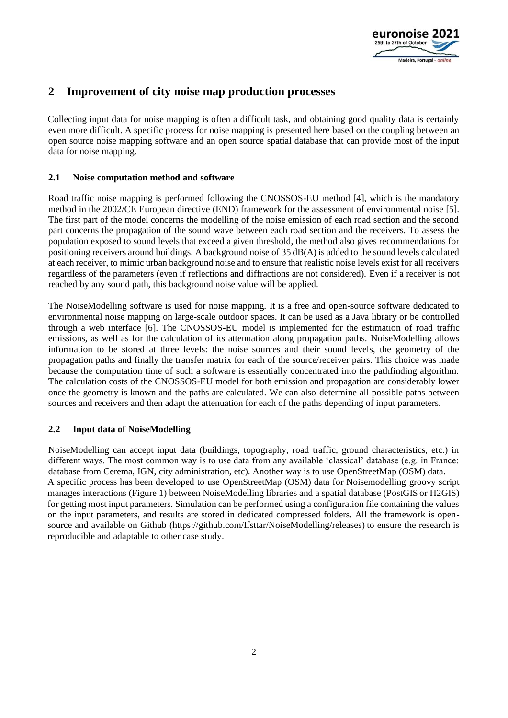

## **2 Improvement of city noise map production processes**

Collecting input data for noise mapping is often a difficult task, and obtaining good quality data is certainly even more difficult. A specific process for noise mapping is presented here based on the coupling between an open source noise mapping software and an open source spatial database that can provide most of the input data for noise mapping.

### **2.1 Noise computation method and software**

Road traffic noise mapping is performed following the CNOSSOS-EU method [\[4\],](#page-9-2) which is the mandatory method in the 2002/CE European directive (END) framework for the assessment of environmental noise [\[5\].](#page-9-3) The first part of the model concerns the modelling of the noise emission of each road section and the second part concerns the propagation of the sound wave between each road section and the receivers. To assess the population exposed to sound levels that exceed a given threshold, the method also gives recommendations for positioning receivers around buildings. A background noise of 35 dB(A) is added to the sound levels calculated at each receiver, to mimic urban background noise and to ensure that realistic noise levels exist for all receivers regardless of the parameters (even if reflections and diffractions are not considered). Even if a receiver is not reached by any sound path, this background noise value will be applied.

The NoiseModelling software is used for noise mapping. It is a free and open-source software dedicated to environmental noise mapping on large-scale outdoor spaces. It can be used as a Java library or be controlled through a web interface [\[6\].](#page-9-4) The CNOSSOS-EU model is implemented for the estimation of road traffic emissions, as well as for the calculation of its attenuation along propagation paths. NoiseModelling allows information to be stored at three levels: the noise sources and their sound levels, the geometry of the propagation paths and finally the transfer matrix for each of the source/receiver pairs. This choice was made because the computation time of such a software is essentially concentrated into the pathfinding algorithm. The calculation costs of the CNOSSOS-EU model for both emission and propagation are considerably lower once the geometry is known and the paths are calculated. We can also determine all possible paths between sources and receivers and then adapt the attenuation for each of the paths depending of input parameters.

#### **2.2 Input data of NoiseModelling**

NoiseModelling can accept input data (buildings, topography, road traffic, ground characteristics, etc.) in different ways. The most common way is to use data from any available 'classical' database (e.g. in France: database from Cerema, IGN, city administration, etc). Another way is to use OpenStreetMap (OSM) data. A specific process has been developed to use OpenStreetMap (OSM) data for Noisemodelling groovy script manages interactions [\(Figure 1\)](#page-2-0) between NoiseModelling libraries and a spatial database (PostGIS or H2GIS) for getting most input parameters. Simulation can be performed using a configuration file containing the values on the input parameters, and results are stored in dedicated compressed folders. All the framework is opensource and available on Github (https://github.com/Ifsttar/NoiseModelling/releases) to ensure the research is reproducible and adaptable to other case study.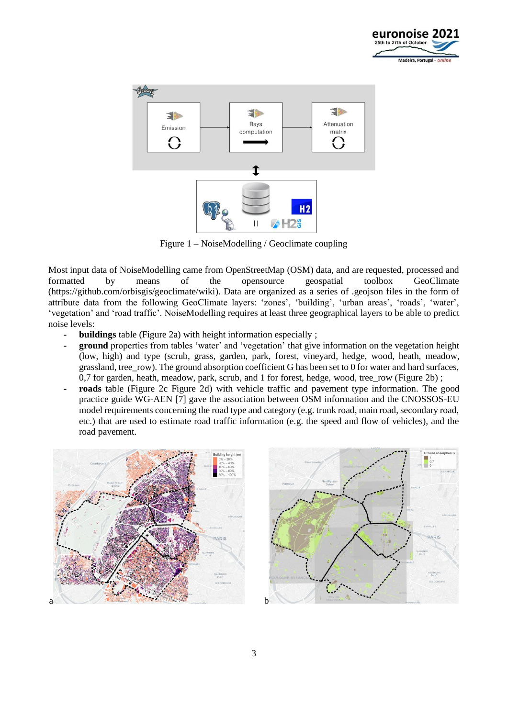



Figure 1 – NoiseModelling / Geoclimate coupling

<span id="page-2-0"></span>Most input data of NoiseModelling came from OpenStreetMap (OSM) data, and are requested, processed and formatted by means of the opensource geospatial toolbox GeoClimate (https://github.com/orbisgis/geoclimate/wiki). Data are organized as a series of .geojson files in the form of attribute data from the following GeoClimate layers: 'zones', 'building', 'urban areas', 'roads', 'water', 'vegetation' and 'road traffic'. NoiseModelling requires at least three geographical layers to be able to predict noise levels:

- **- buildings** table [\(Figure 2a](#page-3-0)) with height information especially ;
- **- ground** properties from tables 'water' and 'vegetation' that give information on the vegetation height (low, high) and type (scrub, grass, garden, park, forest, vineyard, hedge, wood, heath, meadow, grassland, tree\_row). The ground absorption coefficient G has been set to 0 for water and hard surfaces, 0,7 for garden, heath, meadow, park, scrub, and 1 for forest, hedge, wood, tree row [\(Figure 2b](#page-3-0)) ;
- **- roads** table [\(Figure 2c Figure 2d](#page-3-0)) with vehicle traffic and pavement type information. The good practice guide WG-AEN [\[7\]](#page-9-5) gave the association between OSM information and the CNOSSOS-EU model requirements concerning the road type and category (e.g. trunk road, main road, secondary road, etc.) that are used to estimate road traffic information (e.g. the speed and flow of vehicles), and the road pavement.



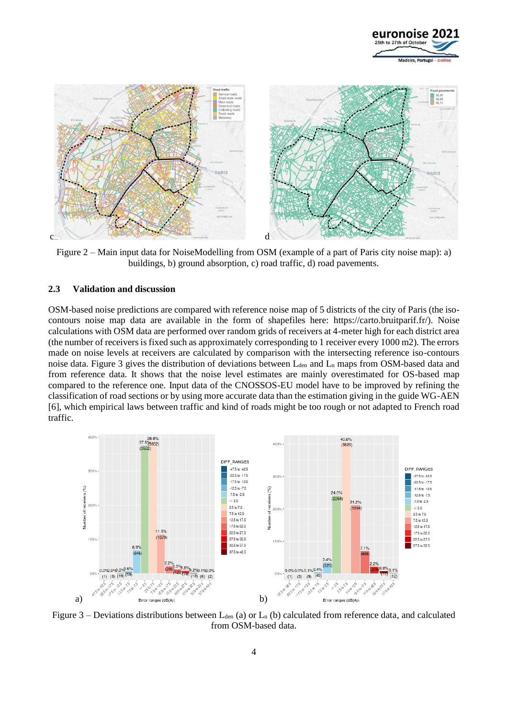



<span id="page-3-0"></span>Figure 2 – Main input data for NoiseModelling from OSM (example of a part of Paris city noise map): a) buildings, b) ground absorption, c) road traffic, d) road pavements.

#### **2.3 Validation and discussion**

OSM-based noise predictions are compared with reference noise map of 5 districts of the city of Paris (the isocontours noise map data are available in the form of shapefiles here: https://carto.bruitparif.fr/). Noise calculations with OSM data are performed over random grids of receivers at 4-meter high for each district area (the number of receivers is fixed such as approximately corresponding to 1 receiver every 1000 m2). The errors made on noise levels at receivers are calculated by comparison with the intersecting reference iso-contours noise data. [Figure 3](#page-3-1) gives the distribution of deviations between  $L_{den}$  and  $L_n$  maps from OSM-based data and from reference data. It shows that the noise level estimates are mainly overestimated for OS-based map compared to the reference one. Input data of the CNOSSOS-EU model have to be improved by refining the classification of road sections or by using more accurate data than the estimation giving in the guide WG-AEN [6], which empirical laws between traffic and kind of roads might be too rough or not adapted to French road traffic.



<span id="page-3-1"></span>Figure 3 – Deviations distributions between  $L_{den}$  (a) or  $L_n$  (b) calculated from reference data, and calculated from OSM-based data.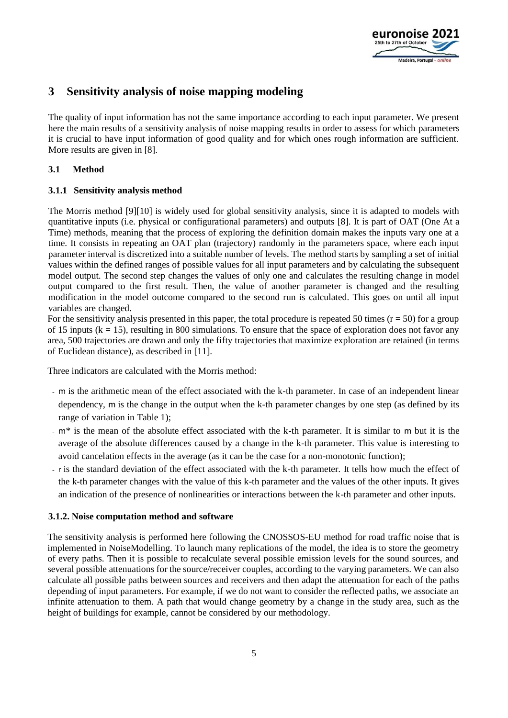

## **3 Sensitivity analysis of noise mapping modeling**

The quality of input information has not the same importance according to each input parameter. We present here the main results of a sensitivity analysis of noise mapping results in order to assess for which parameters it is crucial to have input information of good quality and for which ones rough information are sufficient. More results are given in [\[8\].](#page-9-6)

### **3.1 Method**

### **3.1.1 Sensitivity analysis method**

The Morris method [\[9\]\[10\]](#page-9-7) is widely used for global sensitivity analysis, since it is adapted to models with quantitative inputs (i.e. physical or configurational parameters) and outputs [\[8\].](#page-9-6) It is part of OAT (One At a Time) methods, meaning that the process of exploring the definition domain makes the inputs vary one at a time. It consists in repeating an OAT plan (trajectory) randomly in the parameters space, where each input parameter interval is discretized into a suitable number of levels. The method starts by sampling a set of initial values within the defined ranges of possible values for all input parameters and by calculating the subsequent model output. The second step changes the values of only one and calculates the resulting change in model output compared to the first result. Then, the value of another parameter is changed and the resulting modification in the model outcome compared to the second run is calculated. This goes on until all input variables are changed.

For the sensitivity analysis presented in this paper, the total procedure is repeated 50 times  $(r = 50)$  for a group of 15 inputs  $(k = 15)$ , resulting in 800 simulations. To ensure that the space of exploration does not favor any area, 500 trajectories are drawn and only the fifty trajectories that maximize exploration are retained (in terms of Euclidean distance), as described in [\[11\].](#page-9-8)

Three indicators are calculated with the Morris method:

- m is the arithmetic mean of the effect associated with the k-th parameter. In case of an independent linear dependency, m is the change in the output when the k-th parameter changes by one step (as defined by its range of variation in [Table 1\)](#page-5-0);
- $m^*$  is the mean of the absolute effect associated with the k-th parameter. It is similar to m but it is the average of the absolute differences caused by a change in the k-th parameter. This value is interesting to avoid cancelation effects in the average (as it can be the case for a non-monotonic function);
- r is the standard deviation of the effect associated with the k-th parameter. It tells how much the effect of the k-th parameter changes with the value of this k-th parameter and the values of the other inputs. It gives an indication of the presence of nonlinearities or interactions between the k-th parameter and other inputs.

#### **3.1.2. Noise computation method and software**

The sensitivity analysis is performed here following the CNOSSOS-EU method for road traffic noise that is implemented in NoiseModelling. To launch many replications of the model, the idea is to store the geometry of every paths. Then it is possible to recalculate several possible emission levels for the sound sources, and several possible attenuations for the source/receiver couples, according to the varying parameters. We can also calculate all possible paths between sources and receivers and then adapt the attenuation for each of the paths depending of input parameters. For example, if we do not want to consider the reflected paths, we associate an infinite attenuation to them. A path that would change geometry by a change in the study area, such as the height of buildings for example, cannot be considered by our methodology.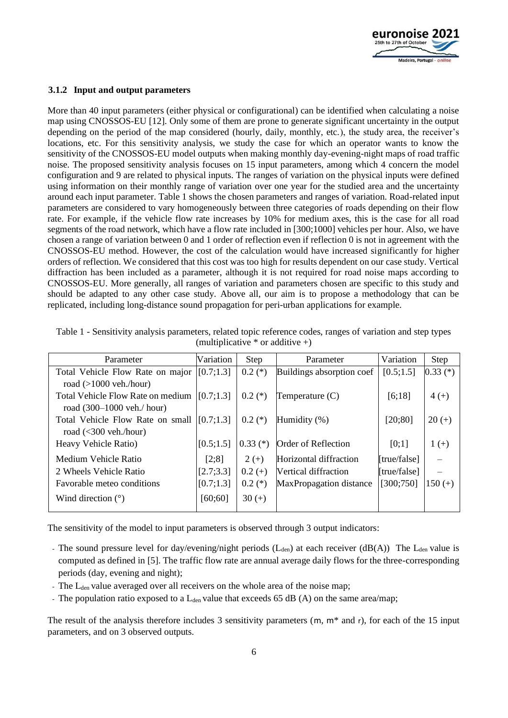

#### **3.1.2 Input and output parameters**

More than 40 input parameters (either physical or configurational) can be identified when calculating a noise map using CNOSSOS-EU [\[12\].](#page-9-9) Only some of them are prone to generate significant uncertainty in the output depending on the period of the map considered (hourly, daily, monthly, etc.), the study area, the receiver's locations, etc. For this sensitivity analysis, we study the case for which an operator wants to know the sensitivity of the CNOSSOS-EU model outputs when making monthly day-evening-night maps of road traffic noise. The proposed sensitivity analysis focuses on 15 input parameters, among which 4 concern the model configuration and 9 are related to physical inputs. The ranges of variation on the physical inputs were defined using information on their monthly range of variation over one year for the studied area and the uncertainty around each input parameter. [Table 1](#page-5-0) shows the chosen parameters and ranges of variation. Road-related input parameters are considered to vary homogeneously between three categories of roads depending on their flow rate. For example, if the vehicle flow rate increases by 10% for medium axes, this is the case for all road segments of the road network, which have a flow rate included in [300;1000] vehicles per hour. Also, we have chosen a range of variation between 0 and 1 order of reflection even if reflection 0 is not in agreement with the CNOSSOS-EU method. However, the cost of the calculation would have increased significantly for higher orders of reflection. We considered that this cost was too high for results dependent on our case study. Vertical diffraction has been included as a parameter, although it is not required for road noise maps according to CNOSSOS-EU. More generally, all ranges of variation and parameters chosen are specific to this study and should be adapted to any other case study. Above all, our aim is to propose a methodology that can be replicated, including long-distance sound propagation for peri-urban applications for example.

| Parameter                                  | Variation | Step       | Parameter                      | Variation    | Step       |
|--------------------------------------------|-----------|------------|--------------------------------|--------------|------------|
| Total Vehicle Flow Rate on major           | [0.7;1.3] | $0.2$ (*)  | Buildings absorption coef      | [0.5;1.5]    | $0.33$ (*) |
| road $(>1000$ veh./hour)                   |           |            |                                |              |            |
| Total Vehicle Flow Rate on medium          | [0.7;1.3] | $0.2(*)$   | Temperature $(C)$              | [6;18]       | $4 (+)$    |
| road $(300-1000 \text{ veh.}/\text{hour})$ |           |            |                                |              |            |
| Total Vehicle Flow Rate on small           | [0.7;1.3] | $0.2(*)$   | Humidity (%)                   | [20;80]      | $20 (+)$   |
| road $(<300$ veh./hour)                    |           |            |                                |              |            |
| Heavy Vehicle Ratio)                       | [0.5;1.5] | $0.33$ (*) | Order of Reflection            | [0;1]        | $1 (+)$    |
| Medium Vehicle Ratio                       | [2;8]     | $2 (+)$    | Horizontal diffraction         | [true/false] |            |
| 2 Wheels Vehicle Ratio                     | [2.7;3.3] | $0.2 (+)$  | Vertical diffraction           | [true/false] |            |
| Favorable meteo conditions                 | [0.7;1.3] | $0.2$ (*)  | <b>MaxPropagation distance</b> | [300;750]    | $150 (+)$  |
| Wind direction $(°)$                       | [60;60]   | $30 (+)$   |                                |              |            |
|                                            |           |            |                                |              |            |

<span id="page-5-0"></span>

| Table 1 - Sensitivity analysis parameters, related topic reference codes, ranges of variation and step types |
|--------------------------------------------------------------------------------------------------------------|
| (multiplicative $*$ or additive +)                                                                           |

The sensitivity of the model to input parameters is observed through 3 output indicators:

- The sound pressure level for day/evening/night periods (L<sub>den</sub>) at each receiver (dB(A)) The L<sub>den</sub> value is computed as defined in [\[5\].](#page-9-3) The traffic flow rate are annual average daily flows for the three-corresponding periods (day, evening and night);
- The L<sub>den</sub> value averaged over all receivers on the whole area of the noise map;
- The population ratio exposed to a  $L_{den}$  value that exceeds 65 dB (A) on the same area/map;

The result of the analysis therefore includes 3 sensitivity parameters (m, m\* and r), for each of the 15 input parameters, and on 3 observed outputs.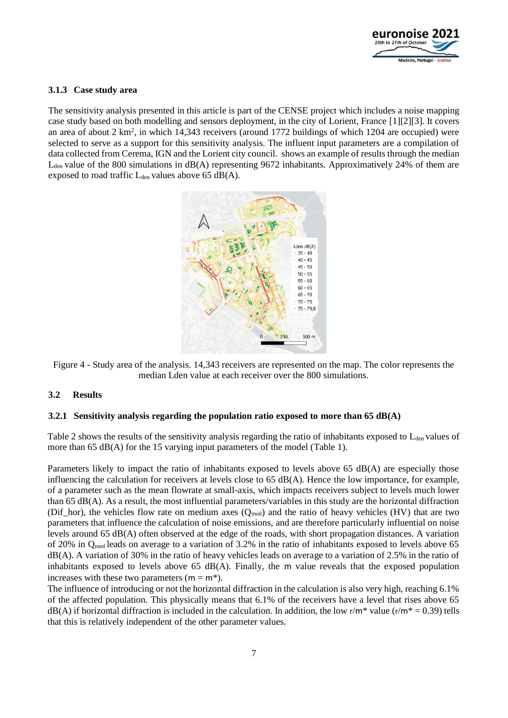

#### **3.1.3 Case study area**

The sensitivity analysis presented in this article is part of the CENSE project which includes a noise mapping case study based on both modelling and sensors deployment, in the city of Lorient, France [\[1\]\[2\]](#page-9-0)[\[3\].](#page-9-1) It covers an area of about 2 km<sup>2</sup>, in which 14,343 receivers (around 1772 buildings of which 1204 are occupied) were selected to serve as a support for this sensitivity analysis. The influent input parameters are a compilation of data collected from Cerema, IGN and the Lorient city council. shows an example of results through the median  $L_{den}$  value of the 800 simulations in  $dB(A)$  representing 9672 inhabitants. Approximatively 24% of them are exposed to road traffic  $L_{den}$  values above 65 dB(A).



Figure 4 - Study area of the analysis. 14,343 receivers are represented on the map. The color represents the median Lden value at each receiver over the 800 simulations.

#### **3.2 Results**

#### **3.2.1 Sensitivity analysis regarding the population ratio exposed to more than 65 dB(A)**

[Table 2](#page-7-0) shows the results of the sensitivity analysis regarding the ratio of inhabitants exposed to  $L_{den}$  values of more than 65  $dB(A)$  for the 15 varying input parameters of the model [\(Table 1\)](#page-5-0).

Parameters likely to impact the ratio of inhabitants exposed to levels above 65 dB(A) are especially those influencing the calculation for receivers at levels close to 65 dB(A). Hence the low importance, for example, of a parameter such as the mean flowrate at small-axis, which impacts receivers subject to levels much lower than 65 dB(A). As a result, the most influential parameters/variables in this study are the horizontal diffraction (Dif\_hor), the vehicles flow rate on medium axes  $(Q_{med})$  and the ratio of heavy vehicles (HV) that are two parameters that influence the calculation of noise emissions, and are therefore particularly influential on noise levels around 65 dB(A) often observed at the edge of the roads, with short propagation distances. A variation of 20% in Qmed leads on average to a variation of 3.2% in the ratio of inhabitants exposed to levels above 65 dB(A). A variation of 30% in the ratio of heavy vehicles leads on average to a variation of 2.5% in the ratio of inhabitants exposed to levels above  $65 \text{ dB}(A)$ . Finally, the m value reveals that the exposed population increases with these two parameters ( $m = m^*$ ).

The influence of introducing or not the horizontal diffraction in the calculation is also very high, reaching 6.1% of the affected population. This physically means that 6.1% of the receivers have a level that rises above 65  $dB(A)$  if horizontal diffraction is included in the calculation. In addition, the low r/m\* value (r/m\* = 0.39) tells that this is relatively independent of the other parameter values.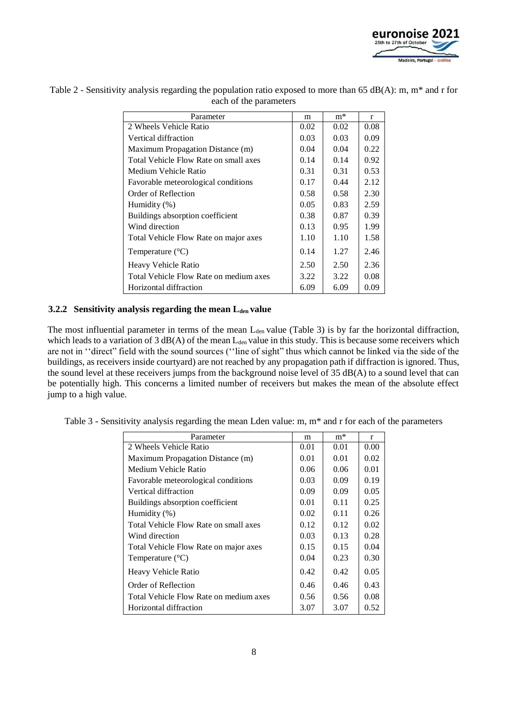

| Parameter                              |      | $m*$ | r    |
|----------------------------------------|------|------|------|
| 2 Wheels Vehicle Ratio                 |      | 0.02 | 0.08 |
| Vertical diffraction                   |      | 0.03 | 0.09 |
| Maximum Propagation Distance (m)       |      | 0.04 | 0.22 |
| Total Vehicle Flow Rate on small axes  |      | 0.14 | 0.92 |
| Medium Vehicle Ratio                   |      | 0.31 | 0.53 |
| Favorable meteorological conditions    | 0.17 | 0.44 | 2.12 |
| Order of Reflection                    | 0.58 | 0.58 | 2.30 |
| Humidity $(\%)$                        |      | 0.83 | 2.59 |
| Buildings absorption coefficient       |      | 0.87 | 0.39 |
| Wind direction                         | 0.13 | 0.95 | 1.99 |
| Total Vehicle Flow Rate on major axes  | 1.10 | 1.10 | 1.58 |
| Temperature $(^{\circ}C)$              | 0.14 | 1.27 | 2.46 |
| Heavy Vehicle Ratio                    | 2.50 | 2.50 | 2.36 |
| Total Vehicle Flow Rate on medium axes | 3.22 | 3.22 | 0.08 |
| Horizontal diffraction                 | 6.09 | 6.09 | 0.09 |

<span id="page-7-0"></span>Table 2 - Sensitivity analysis regarding the population ratio exposed to more than 65 dB(A): m, m\* and r for each of the parameters

#### **3.2.2 Sensitivity analysis regarding the mean Lden value**

The most influential parameter in terms of the mean  $L_{den}$  value [\(Table 3\)](#page-7-1) is by far the horizontal diffraction, which leads to a variation of  $3$  dB(A) of the mean  $L_{den}$  value in this study. This is because some receivers which are not in ''direct" field with the sound sources (''line of sight" thus which cannot be linked via the side of the buildings, as receivers inside courtyard) are not reached by any propagation path if diffraction is ignored. Thus, the sound level at these receivers jumps from the background noise level of 35 dB(A) to a sound level that can be potentially high. This concerns a limited number of receivers but makes the mean of the absolute effect jump to a high value.

| Parameter                              | m    | $m*$ | $\mathbf{r}$ |
|----------------------------------------|------|------|--------------|
| 2 Wheels Vehicle Ratio                 | 0.01 | 0.01 | 0.00         |
| Maximum Propagation Distance (m)       | 0.01 | 0.01 | 0.02         |
| Medium Vehicle Ratio                   |      | 0.06 | 0.01         |
| Favorable meteorological conditions    |      | 0.09 | 0.19         |
| Vertical diffraction                   |      | 0.09 | 0.05         |
| Buildings absorption coefficient       | 0.01 | 0.11 | 0.25         |
| Humidity $(\%)$                        | 0.02 | 0.11 | 0.26         |
| Total Vehicle Flow Rate on small axes  | 0.12 | 0.12 | 0.02         |
| Wind direction                         |      | 0.13 | 0.28         |
| Total Vehicle Flow Rate on major axes  |      | 0.15 | 0.04         |
| Temperature $(^{\circ}C)$              |      | 0.23 | 0.30         |
| Heavy Vehicle Ratio                    | 0.42 | 0.42 | 0.05         |
| Order of Reflection                    | 0.46 | 0.46 | 0.43         |
| Total Vehicle Flow Rate on medium axes | 0.56 | 0.56 | 0.08         |
| Horizontal diffraction                 | 3.07 | 3.07 | 0.52         |

<span id="page-7-1"></span>Table 3 - Sensitivity analysis regarding the mean Lden value: m, m\* and r for each of the parameters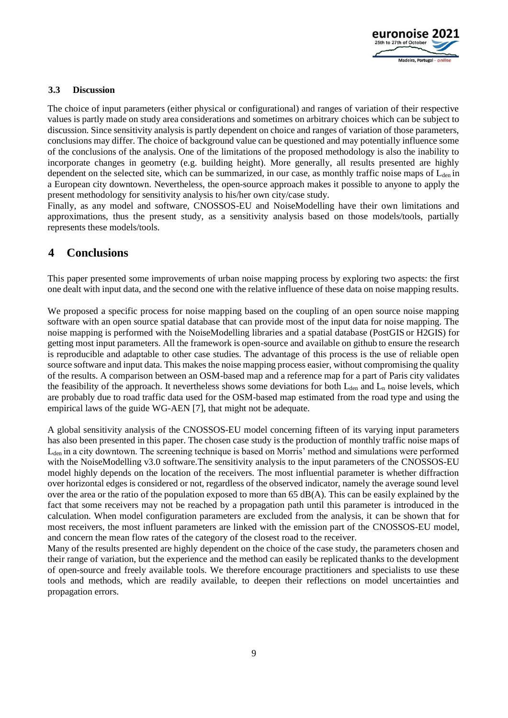

#### **3.3 Discussion**

The choice of input parameters (either physical or configurational) and ranges of variation of their respective values is partly made on study area considerations and sometimes on arbitrary choices which can be subject to discussion. Since sensitivity analysis is partly dependent on choice and ranges of variation of those parameters, conclusions may differ. The choice of background value can be questioned and may potentially influence some of the conclusions of the analysis. One of the limitations of the proposed methodology is also the inability to incorporate changes in geometry (e.g. building height). More generally, all results presented are highly dependent on the selected site, which can be summarized, in our case, as monthly traffic noise maps of  $L_{den}$  in a European city downtown. Nevertheless, the open-source approach makes it possible to anyone to apply the present methodology for sensitivity analysis to his/her own city/case study.

Finally, as any model and software, CNOSSOS-EU and NoiseModelling have their own limitations and approximations, thus the present study, as a sensitivity analysis based on those models/tools, partially represents these models/tools.

## **4 Conclusions**

This paper presented some improvements of urban noise mapping process by exploring two aspects: the first one dealt with input data, and the second one with the relative influence of these data on noise mapping results.

We proposed a specific process for noise mapping based on the coupling of an open source noise mapping software with an open source spatial database that can provide most of the input data for noise mapping. The noise mapping is performed with the NoiseModelling libraries and a spatial database (PostGIS or H2GIS) for getting most input parameters. All the framework is open-source and available on github to ensure the research is reproducible and adaptable to other case studies. The advantage of this process is the use of reliable open source software and input data. This makes the noise mapping process easier, without compromising the quality of the results. A comparison between an OSM-based map and a reference map for a part of Paris city validates the feasibility of the approach. It nevertheless shows some deviations for both  $L_{den}$  and  $L_n$  noise levels, which are probably due to road traffic data used for the OSM-based map estimated from the road type and using the empirical laws of the guide WG-AEN [\[7\],](#page-9-5) that might not be adequate.

A global sensitivity analysis of the CNOSSOS-EU model concerning fifteen of its varying input parameters has also been presented in this paper. The chosen case study is the production of monthly traffic noise maps of Lden in a city downtown. The screening technique is based on Morris' method and simulations were performed with the NoiseModelling v3.0 software. The sensitivity analysis to the input parameters of the CNOSSOS-EU model highly depends on the location of the receivers. The most influential parameter is whether diffraction over horizontal edges is considered or not, regardless of the observed indicator, namely the average sound level over the area or the ratio of the population exposed to more than  $65 \text{ dB}(A)$ . This can be easily explained by the fact that some receivers may not be reached by a propagation path until this parameter is introduced in the calculation. When model configuration parameters are excluded from the analysis, it can be shown that for most receivers, the most influent parameters are linked with the emission part of the CNOSSOS-EU model, and concern the mean flow rates of the category of the closest road to the receiver.

Many of the results presented are highly dependent on the choice of the case study, the parameters chosen and their range of variation, but the experience and the method can easily be replicated thanks to the development of open-source and freely available tools. We therefore encourage practitioners and specialists to use these tools and methods, which are readily available, to deepen their reflections on model uncertainties and propagation errors.